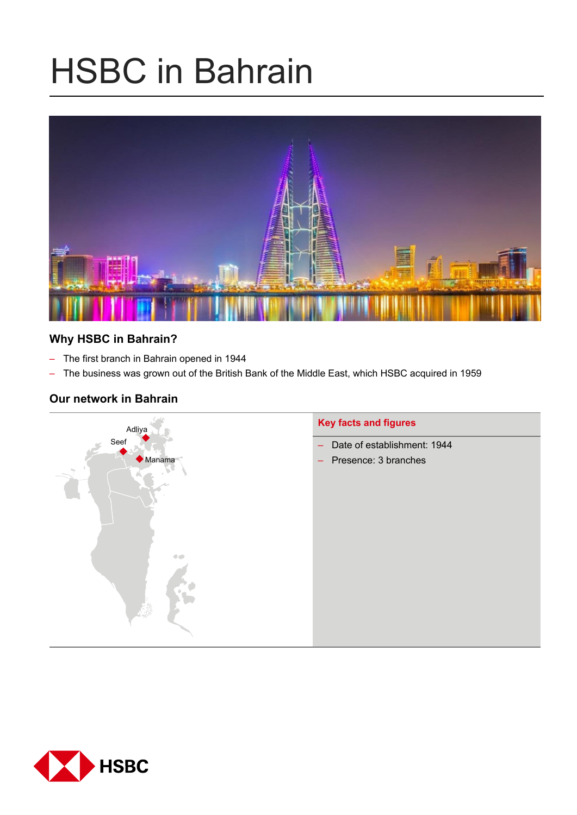# HSBC in Bahrain



# **Why HSBC in Bahrain?**

- The first branch in Bahrain opened in 1944
- The business was grown out of the British Bank of the Middle East, which HSBC acquired in 1959

## **Our network in Bahrain**